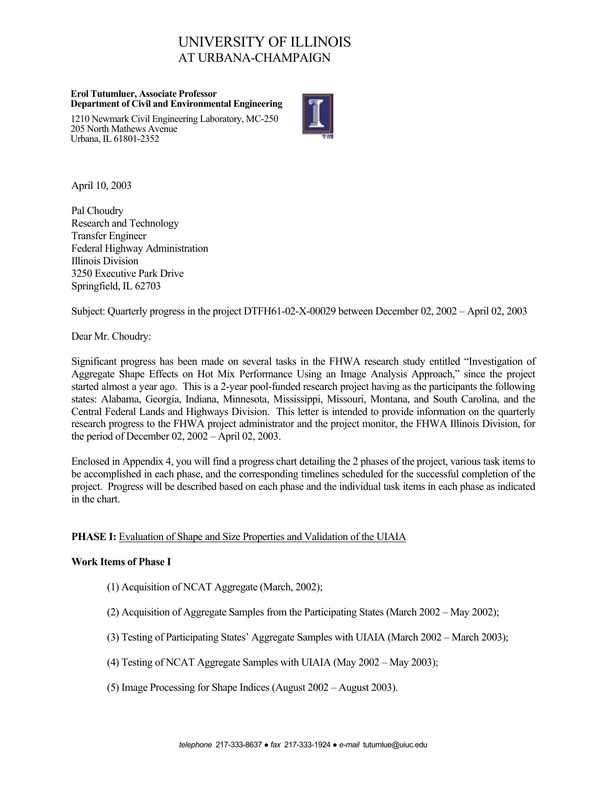# UNIVERSITY OF ILLINOIS AT URBANA-CHAMPAIGN

#### **Erol Tutumluer, Associate Professor Department of Civil and Environmental Engineering**

1210 Newmark Civil Engineering Laboratory, MC-250 205 North Mathews Avenue Urbana, IL 61801-2352



April 10, 2003

Pal Choudry Research and Technology Transfer Engineer Federal Highway Administration Illinois Division 3250 Executive Park Drive Springfield, IL 62703

Subject: Quarterly progress in the project DTFH61-02-X-00029 between December 02, 2002 – April 02, 2003

Dear Mr. Choudry:

Significant progress has been made on several tasks in the FHWA research study entitled "Investigation of Aggregate Shape Effects on Hot Mix Performance Using an Image Analysis Approach," since the project started almost a year ago. This is a 2-year pool-funded research project having as the participants the following states: Alabama, Georgia, Indiana, Minnesota, Mississippi, Missouri, Montana, and South Carolina, and the Central Federal Lands and Highways Division. This letter is intended to provide information on the quarterly research progress to the FHWA project administrator and the project monitor, the FHWA Illinois Division, for the period of December 02, 2002 – April 02, 2003.

Enclosed in Appendix 4, you will find a progress chart detailing the 2 phases of the project, various task items to be accomplished in each phase, and the corresponding timelines scheduled for the successful completion of the project. Progress will be described based on each phase and the individual task items in each phase as indicated in the chart.

# **PHASE I:** Evaluation of Shape and Size Properties and Validation of the UIAIA

# **Work Items of Phase I**

- (1) Acquisition of NCAT Aggregate (March, 2002);
- (2) Acquisition of Aggregate Samples from the Participating States (March 2002 May 2002);
- (3) Testing of Participating States' Aggregate Samples with UIAIA (March 2002 March 2003);
- (4) Testing of NCAT Aggregate Samples with UIAIA (May 2002 May 2003);
- (5) Image Processing for Shape Indices (August 2002 August 2003).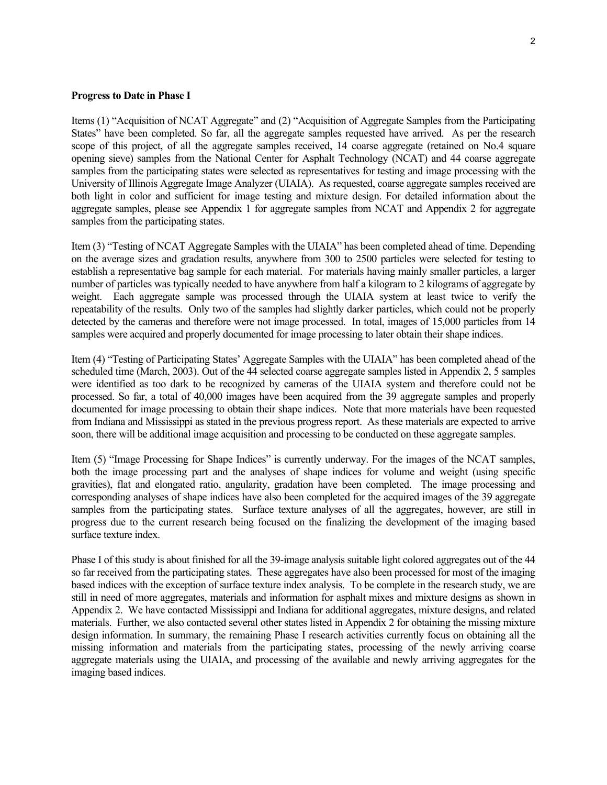#### **Progress to Date in Phase I**

Items (1) "Acquisition of NCAT Aggregate" and (2) "Acquisition of Aggregate Samples from the Participating States" have been completed. So far, all the aggregate samples requested have arrived. As per the research scope of this project, of all the aggregate samples received, 14 coarse aggregate (retained on No.4 square opening sieve) samples from the National Center for Asphalt Technology (NCAT) and 44 coarse aggregate samples from the participating states were selected as representatives for testing and image processing with the University of Illinois Aggregate Image Analyzer (UIAIA). As requested, coarse aggregate samples received are both light in color and sufficient for image testing and mixture design. For detailed information about the aggregate samples, please see Appendix 1 for aggregate samples from NCAT and Appendix 2 for aggregate samples from the participating states.

Item (3) "Testing of NCAT Aggregate Samples with the UIAIA" has been completed ahead of time. Depending on the average sizes and gradation results, anywhere from 300 to 2500 particles were selected for testing to establish a representative bag sample for each material. For materials having mainly smaller particles, a larger number of particles was typically needed to have anywhere from half a kilogram to 2 kilograms of aggregate by weight. Each aggregate sample was processed through the UIAIA system at least twice to verify the repeatability of the results. Only two of the samples had slightly darker particles, which could not be properly detected by the cameras and therefore were not image processed. In total, images of 15,000 particles from 14 samples were acquired and properly documented for image processing to later obtain their shape indices.

Item (4) "Testing of Participating States' Aggregate Samples with the UIAIA" has been completed ahead of the scheduled time (March, 2003). Out of the 44 selected coarse aggregate samples listed in Appendix 2, 5 samples were identified as too dark to be recognized by cameras of the UIAIA system and therefore could not be processed. So far, a total of 40,000 images have been acquired from the 39 aggregate samples and properly documented for image processing to obtain their shape indices. Note that more materials have been requested from Indiana and Mississippi as stated in the previous progress report. As these materials are expected to arrive soon, there will be additional image acquisition and processing to be conducted on these aggregate samples.

Item (5) "Image Processing for Shape Indices" is currently underway. For the images of the NCAT samples, both the image processing part and the analyses of shape indices for volume and weight (using specific gravities), flat and elongated ratio, angularity, gradation have been completed. The image processing and corresponding analyses of shape indices have also been completed for the acquired images of the 39 aggregate samples from the participating states. Surface texture analyses of all the aggregates, however, are still in progress due to the current research being focused on the finalizing the development of the imaging based surface texture index.

Phase I of this study is about finished for all the 39-image analysis suitable light colored aggregates out of the 44 so far received from the participating states. These aggregates have also been processed for most of the imaging based indices with the exception of surface texture index analysis. To be complete in the research study, we are still in need of more aggregates, materials and information for asphalt mixes and mixture designs as shown in Appendix 2. We have contacted Mississippi and Indiana for additional aggregates, mixture designs, and related materials. Further, we also contacted several other states listed in Appendix 2 for obtaining the missing mixture design information. In summary, the remaining Phase I research activities currently focus on obtaining all the missing information and materials from the participating states, processing of the newly arriving coarse aggregate materials using the UIAIA, and processing of the available and newly arriving aggregates for the imaging based indices.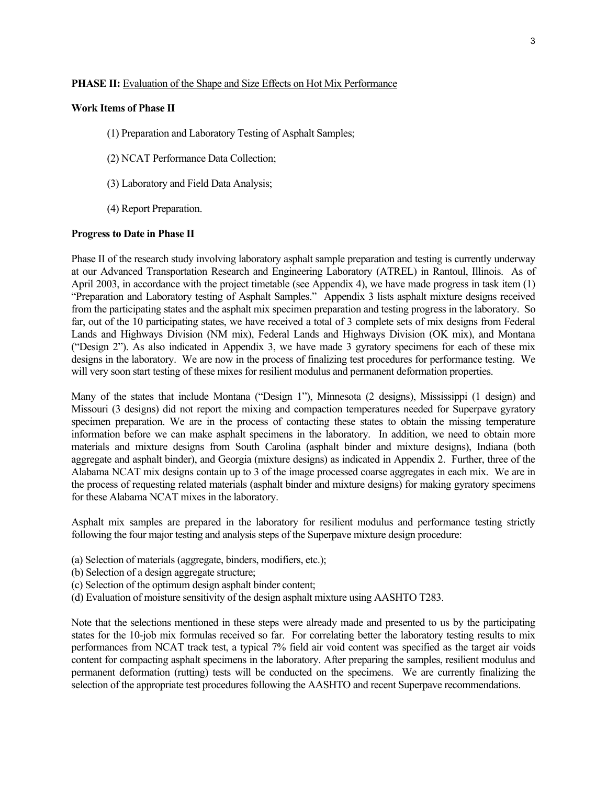## **PHASE II:** Evaluation of the Shape and Size Effects on Hot Mix Performance

## **Work Items of Phase II**

- (1) Preparation and Laboratory Testing of Asphalt Samples;
- (2) NCAT Performance Data Collection;
- (3) Laboratory and Field Data Analysis;
- (4) Report Preparation.

## **Progress to Date in Phase II**

Phase II of the research study involving laboratory asphalt sample preparation and testing is currently underway at our Advanced Transportation Research and Engineering Laboratory (ATREL) in Rantoul, Illinois. As of April 2003, in accordance with the project timetable (see Appendix 4), we have made progress in task item (1) "Preparation and Laboratory testing of Asphalt Samples." Appendix 3 lists asphalt mixture designs received from the participating states and the asphalt mix specimen preparation and testing progress in the laboratory. So far, out of the 10 participating states, we have received a total of 3 complete sets of mix designs from Federal Lands and Highways Division (NM mix), Federal Lands and Highways Division (OK mix), and Montana ("Design 2"). As also indicated in Appendix 3, we have made 3 gyratory specimens for each of these mix designs in the laboratory. We are now in the process of finalizing test procedures for performance testing. We will very soon start testing of these mixes for resilient modulus and permanent deformation properties.

Many of the states that include Montana ("Design 1"), Minnesota (2 designs), Mississippi (1 design) and Missouri (3 designs) did not report the mixing and compaction temperatures needed for Superpave gyratory specimen preparation. We are in the process of contacting these states to obtain the missing temperature information before we can make asphalt specimens in the laboratory. In addition, we need to obtain more materials and mixture designs from South Carolina (asphalt binder and mixture designs), Indiana (both aggregate and asphalt binder), and Georgia (mixture designs) as indicated in Appendix 2. Further, three of the Alabama NCAT mix designs contain up to 3 of the image processed coarse aggregates in each mix. We are in the process of requesting related materials (asphalt binder and mixture designs) for making gyratory specimens for these Alabama NCAT mixes in the laboratory.

Asphalt mix samples are prepared in the laboratory for resilient modulus and performance testing strictly following the four major testing and analysis steps of the Superpave mixture design procedure:

- (a) Selection of materials (aggregate, binders, modifiers, etc.);
- (b) Selection of a design aggregate structure;
- (c) Selection of the optimum design asphalt binder content;
- (d) Evaluation of moisture sensitivity of the design asphalt mixture using AASHTO T283.

Note that the selections mentioned in these steps were already made and presented to us by the participating states for the 10-job mix formulas received so far. For correlating better the laboratory testing results to mix performances from NCAT track test, a typical 7% field air void content was specified as the target air voids content for compacting asphalt specimens in the laboratory. After preparing the samples, resilient modulus and permanent deformation (rutting) tests will be conducted on the specimens. We are currently finalizing the selection of the appropriate test procedures following the AASHTO and recent Superpave recommendations.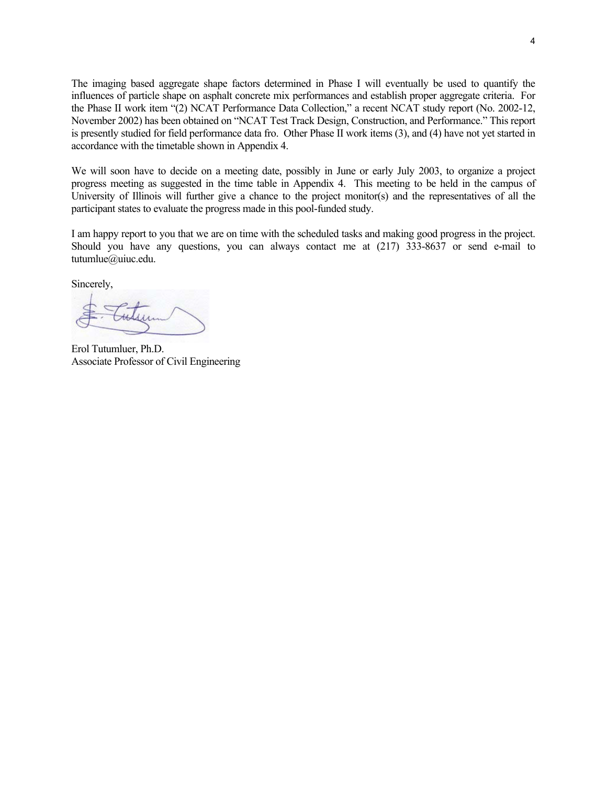The imaging based aggregate shape factors determined in Phase I will eventually be used to quantify the influences of particle shape on asphalt concrete mix performances and establish proper aggregate criteria. For the Phase II work item "(2) NCAT Performance Data Collection," a recent NCAT study report (No. 2002-12, November 2002) has been obtained on "NCAT Test Track Design, Construction, and Performance." This report is presently studied for field performance data fro. Other Phase II work items (3), and (4) have not yet started in accordance with the timetable shown in Appendix 4.

We will soon have to decide on a meeting date, possibly in June or early July 2003, to organize a project progress meeting as suggested in the time table in Appendix 4. This meeting to be held in the campus of University of Illinois will further give a chance to the project monitor(s) and the representatives of all the participant states to evaluate the progress made in this pool-funded study.

I am happy report to you that we are on time with the scheduled tasks and making good progress in the project. Should you have any questions, you can always contact me at (217) 333-8637 or send e-mail to tutumlue@uiuc.edu.

Sincerely,

Erol Tutumluer, Ph.D. Associate Professor of Civil Engineering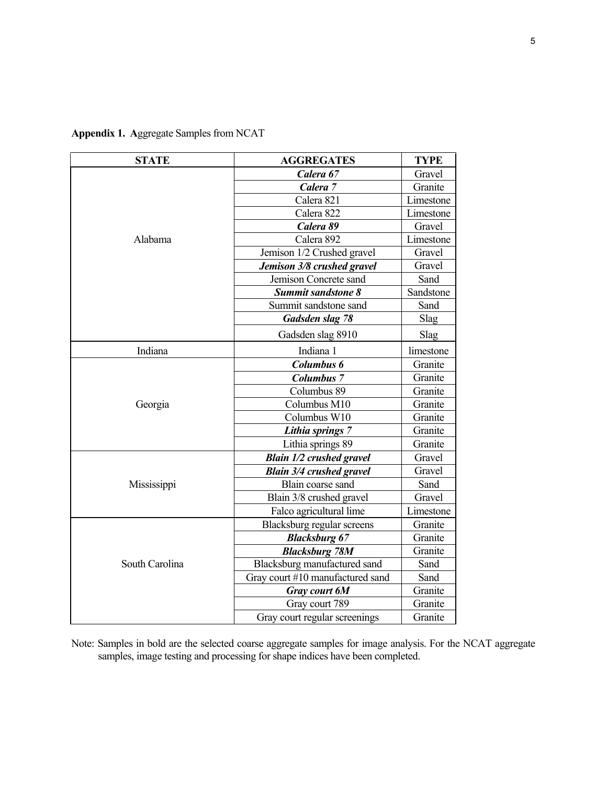| <b>STATE</b>   | <b>AGGREGATES</b>                | <b>TYPE</b> |
|----------------|----------------------------------|-------------|
|                | Calera 67                        | Gravel      |
|                | Calera <sub>7</sub>              | Granite     |
|                | Calera 821                       | Limestone   |
|                | Calera 822                       | Limestone   |
|                | Calera 89                        | Gravel      |
| Alabama        | Calera 892                       | Limestone   |
|                | Jemison 1/2 Crushed gravel       | Gravel      |
|                | Jemison 3/8 crushed gravel       | Gravel      |
|                | Jemison Concrete sand            | Sand        |
|                | <b>Summit sandstone 8</b>        | Sandstone   |
|                | Summit sandstone sand            | Sand        |
|                | Gadsden slag 78                  | Slag        |
|                | Gadsden slag 8910                | Slag        |
| Indiana        | Indiana 1                        | limestone   |
|                | Columbus 6                       | Granite     |
|                | <b>Columbus 7</b>                | Granite     |
|                | Columbus 89                      | Granite     |
| Georgia        | Columbus M10                     | Granite     |
|                | Columbus W10                     | Granite     |
|                | Lithia springs 7                 | Granite     |
|                | Lithia springs 89                | Granite     |
|                | <b>Blain 1/2 crushed gravel</b>  | Gravel      |
|                | <b>Blain 3/4 crushed gravel</b>  | Gravel      |
| Mississippi    | Blain coarse sand                | Sand        |
|                | Blain 3/8 crushed gravel         | Gravel      |
|                | Falco agricultural lime          | Limestone   |
|                | Blacksburg regular screens       | Granite     |
|                | <b>Blacksburg 67</b>             | Granite     |
|                | <b>Blacksburg 78M</b>            | Granite     |
| South Carolina | Blacksburg manufactured sand     | Sand        |
|                | Gray court #10 manufactured sand | Sand        |
|                | Gray court 6M                    | Granite     |
|                | Gray court 789                   | Granite     |
|                | Gray court regular screenings    | Granite     |

**Appendix 1. A**ggregate Samples from NCAT

Note: Samples in bold are the selected coarse aggregate samples for image analysis. For the NCAT aggregate samples, image testing and processing for shape indices have been completed.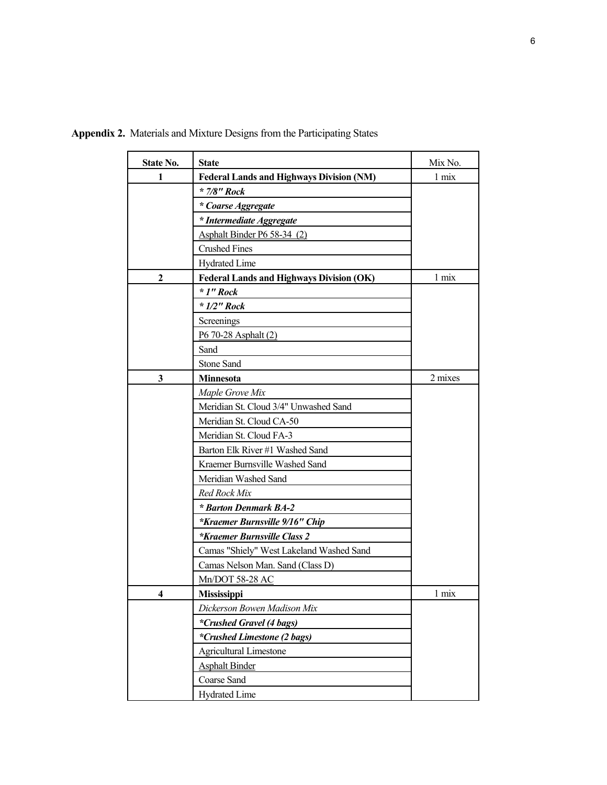|  | Appendix 2. Materials and Mixture Designs from the Participating States |  |  |
|--|-------------------------------------------------------------------------|--|--|
|  |                                                                         |  |  |

| State No.    | <b>State</b>                                    | Mix No.          |
|--------------|-------------------------------------------------|------------------|
| 1            | <b>Federal Lands and Highways Division (NM)</b> | 1 mix            |
|              | $* 7/8"$ Rock                                   |                  |
|              | * Coarse Aggregate                              |                  |
|              | * Intermediate Aggregate                        |                  |
|              | Asphalt Binder P6 58-34 (2)                     |                  |
|              | <b>Crushed Fines</b>                            |                  |
|              | <b>Hydrated Lime</b>                            |                  |
| $\mathbf{2}$ | <b>Federal Lands and Highways Division (OK)</b> | 1 mix            |
|              | $*$ 1" Rock                                     |                  |
|              | $* 1/2"$ Rock                                   |                  |
|              | Screenings                                      |                  |
|              | P6 70-28 Asphalt (2)                            |                  |
|              | Sand                                            |                  |
|              | <b>Stone Sand</b>                               |                  |
| $\mathbf{3}$ | <b>Minnesota</b>                                | 2 mixes          |
|              | Maple Grove Mix                                 |                  |
|              | Meridian St. Cloud 3/4" Unwashed Sand           |                  |
|              | Meridian St. Cloud CA-50                        |                  |
|              | Meridian St. Cloud FA-3                         |                  |
|              | Barton Elk River #1 Washed Sand                 |                  |
|              | Kraemer Burnsville Washed Sand                  |                  |
|              | Meridian Washed Sand                            |                  |
|              | Red Rock Mix                                    |                  |
|              | * Barton Denmark BA-2                           |                  |
|              | *Kraemer Burnsville 9/16" Chip                  |                  |
|              | <i>*Kraemer Burnsville Class 2</i>              |                  |
|              | Camas "Shiely" West Lakeland Washed Sand        |                  |
|              | Camas Nelson Man. Sand (Class D)                |                  |
|              | <b>Mn/DOT 58-28 AC</b>                          |                  |
| Λ            | <b>Mississippi</b>                              | 1 <sub>mix</sub> |
|              | Dickerson Bowen Madison Mix                     |                  |
|              | <i>*Crushed Gravel (4 bags)</i>                 |                  |
|              | <i>*Crushed Limestone (2 bags)</i>              |                  |
|              | <b>Agricultural Limestone</b>                   |                  |
|              | <b>Asphalt Binder</b>                           |                  |
|              | <b>Coarse Sand</b>                              |                  |
|              | Hydrated Lime                                   |                  |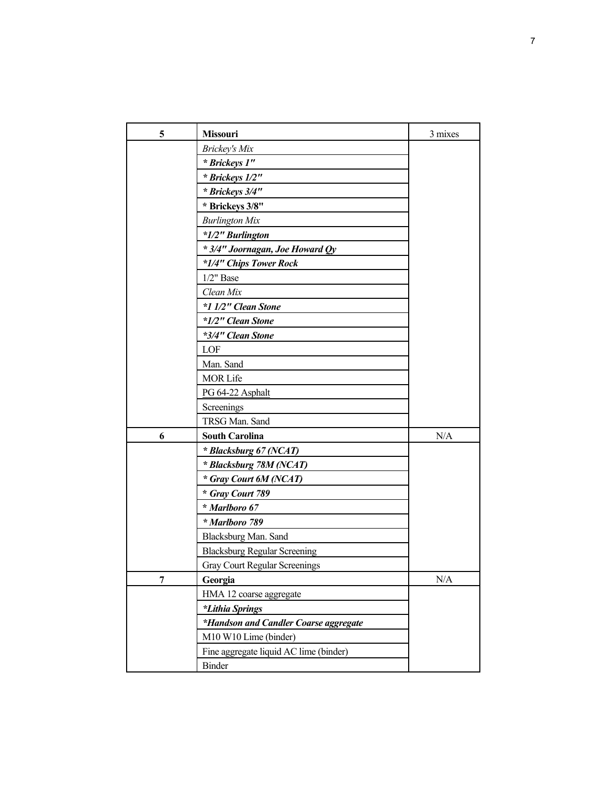| 5 | <b>Missouri</b>                        | 3 mixes |
|---|----------------------------------------|---------|
|   | <b>Brickey's Mix</b>                   |         |
|   | * Brickeys 1"                          |         |
|   | * Brickeys 1/2"                        |         |
|   | * Brickeys 3/4"                        |         |
|   | * Brickeys 3/8"                        |         |
|   | <b>Burlington Mix</b>                  |         |
|   | <i>*1/2" Burlington</i>                |         |
|   | * 3/4" Joornagan, Joe Howard Qy        |         |
|   | *1/4" Chips Tower Rock                 |         |
|   | $1/2$ " Base                           |         |
|   | Clean Mix                              |         |
|   | *1 1/2" Clean Stone                    |         |
|   | *1/2" Clean Stone                      |         |
|   | *3/4" Clean Stone                      |         |
|   | LOF                                    |         |
|   | Man. Sand                              |         |
|   | <b>MOR Life</b>                        |         |
|   | PG 64-22 Asphalt                       |         |
|   | Screenings                             |         |
|   | TRSG Man. Sand                         |         |
| 6 | <b>South Carolina</b>                  | N/A     |
|   | * Blacksburg 67 (NCAT)                 |         |
|   | * Blacksburg 78M (NCAT)                |         |
|   | * Gray Court 6M (NCAT)                 |         |
|   | * Gray Court 789                       |         |
|   | * Marlboro 67                          |         |
|   | * Marlboro 789                         |         |
|   | Blacksburg Man. Sand                   |         |
|   | <b>Blacksburg Regular Screening</b>    |         |
|   | <b>Gray Court Regular Screenings</b>   |         |
| 7 | Georgia                                | N/A     |
|   | HMA 12 coarse aggregate                |         |
|   | *Lithia Springs                        |         |
|   | *Handson and Candler Coarse aggregate  |         |
|   | M10 W10 Lime (binder)                  |         |
|   | Fine aggregate liquid AC lime (binder) |         |
|   | <b>Binder</b>                          |         |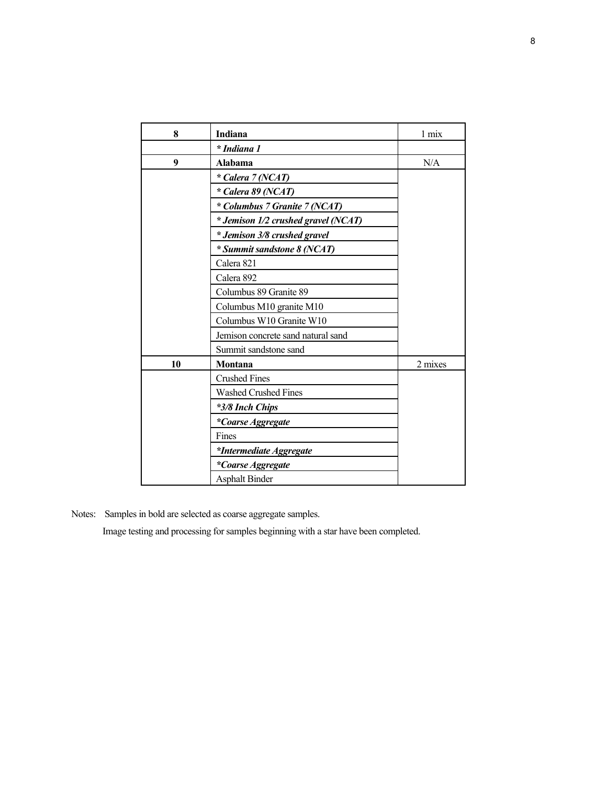| 8  | Indiana                             | $1 \text{ mix}$ |
|----|-------------------------------------|-----------------|
|    | * Indiana 1                         |                 |
| 9  | Alabama                             | N/A             |
|    | * Calera 7 (NCAT)                   |                 |
|    | * Calera 89 (NCAT)                  |                 |
|    | * Columbus 7 Granite 7 (NCAT)       |                 |
|    | * Jemison 1/2 crushed gravel (NCAT) |                 |
|    | * Jemison 3/8 crushed gravel        |                 |
|    | * Summit sandstone 8 (NCAT)         |                 |
|    | Calera 821                          |                 |
|    | Calera 892                          |                 |
|    | Columbus 89 Granite 89              |                 |
|    | Columbus M10 granite M10            |                 |
|    | Columbus W10 Granite W10            |                 |
|    | Jemison concrete sand natural sand  |                 |
|    | Summit sandstone sand               |                 |
| 10 | Montana                             | 2 mixes         |
|    | <b>Crushed Fines</b>                |                 |
|    | <b>Washed Crushed Fines</b>         |                 |
|    | *3/8 Inch Chips                     |                 |
|    | *Coarse Aggregate                   |                 |
|    | Fines                               |                 |
|    | *Intermediate Aggregate             |                 |
|    | *Coarse Aggregate                   |                 |
|    | <b>Asphalt Binder</b>               |                 |

Notes: Samples in bold are selected as coarse aggregate samples.

Image testing and processing for samples beginning with a star have been completed.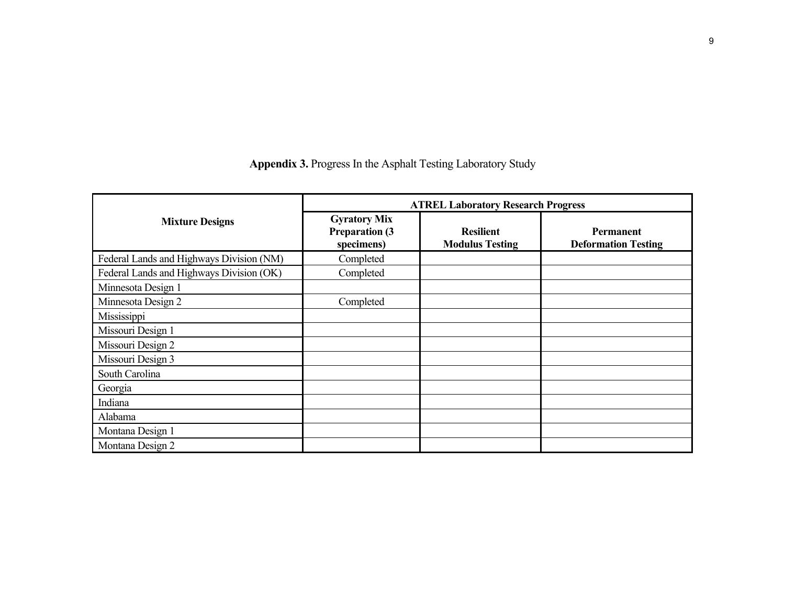| <b>Appendix 3.</b> Progress In the Asphalt Testing Laboratory Study |  |  |
|---------------------------------------------------------------------|--|--|
|                                                                     |  |  |

|                                          | <b>ATREL Laboratory Research Progress</b>                   |                                            |                                                |  |  |  |
|------------------------------------------|-------------------------------------------------------------|--------------------------------------------|------------------------------------------------|--|--|--|
| <b>Mixture Designs</b>                   | <b>Gyratory Mix</b><br><b>Preparation (3)</b><br>specimens) | <b>Resilient</b><br><b>Modulus Testing</b> | <b>Permanent</b><br><b>Deformation Testing</b> |  |  |  |
| Federal Lands and Highways Division (NM) | Completed                                                   |                                            |                                                |  |  |  |
| Federal Lands and Highways Division (OK) | Completed                                                   |                                            |                                                |  |  |  |
| Minnesota Design 1                       |                                                             |                                            |                                                |  |  |  |
| Minnesota Design 2                       | Completed                                                   |                                            |                                                |  |  |  |
| Mississippi                              |                                                             |                                            |                                                |  |  |  |
| Missouri Design 1                        |                                                             |                                            |                                                |  |  |  |
| Missouri Design 2                        |                                                             |                                            |                                                |  |  |  |
| Missouri Design 3                        |                                                             |                                            |                                                |  |  |  |
| South Carolina                           |                                                             |                                            |                                                |  |  |  |
| Georgia                                  |                                                             |                                            |                                                |  |  |  |
| Indiana                                  |                                                             |                                            |                                                |  |  |  |
| Alabama                                  |                                                             |                                            |                                                |  |  |  |
| Montana Design 1                         |                                                             |                                            |                                                |  |  |  |
| Montana Design 2                         |                                                             |                                            |                                                |  |  |  |